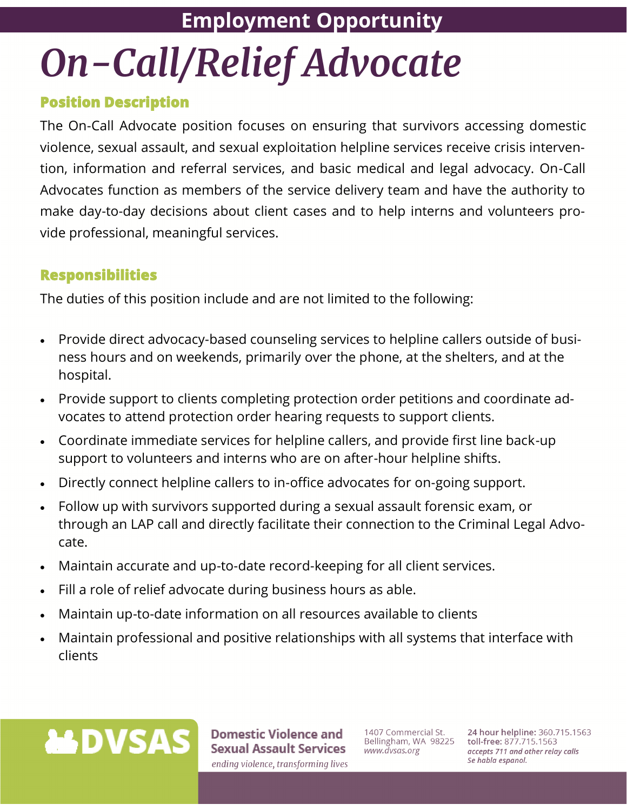# **Employment Opportunity**  On-Call/Relief Advocate

# **Position Description**

The On-Call Advocate position focuses on ensuring that survivors accessing domestic violence, sexual assault, and sexual exploitation helpline services receive crisis intervention, information and referral services, and basic medical and legal advocacy. On-Call Advocates function as members of the service delivery team and have the authority to make day-to-day decisions about client cases and to help interns and volunteers provide professional, meaningful services.

#### **Responsibilities**

The duties of this position include and are not limited to the following:

- Provide direct advocacy-based counseling services to helpline callers outside of business hours and on weekends, primarily over the phone, at the shelters, and at the hospital.
- Provide support to clients completing protection order petitions and coordinate advocates to attend protection order hearing requests to support clients.
- Coordinate immediate services for helpline callers, and provide first line back-up support to volunteers and interns who are on after-hour helpline shifts.
- Directly connect helpline callers to in-office advocates for on-going support.
- Follow up with survivors supported during a sexual assault forensic exam, or through an LAP call and directly facilitate their connection to the Criminal Legal Advocate.
- Maintain accurate and up-to-date record-keeping for all client services.
- Fill a role of relief advocate during business hours as able.
- Maintain up-to-date information on all resources available to clients
- Maintain professional and positive relationships with all systems that interface with clients



**Domestic Violence and Sexual Assault Services** ending violence, transforming lives

1407 Commercial St. Bellingham, WA 98225 www.dvsas.org

24 hour helpline: 360.715.1563 toll-free: 877.715.1563 accepts 711 and other relay calls Se habla espanol.